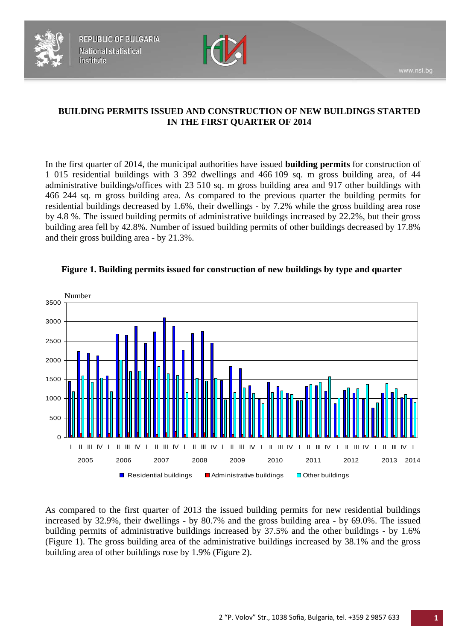



## **BUILDING PERMITS ISSUED AND CONSTRUCTION OF NEW BUILDINGS STARTED IN THE FIRST QUARTER OF 2014**

In the first quarter of 2014, the municipal authorities have issued **building permits** for construction of 1 015 residential buildings with 3 392 dwellings and 466 109 sq. m gross building area, of 44 administrative buildings/offices with 23 510 sq. m gross building area and 917 other buildings with 466 244 sq. m gross building area. As compared to the previous quarter the building permits for residential buildings decreased by 1.6%, their dwellings - by 7.2% while the gross building area rose by 4.8 %. The issued building permits of administrative buildings increased by 22.2%, but their gross building area fell by 42.8%. Number of issued building permits of other buildings decreased by 17.8% and their gross building area - by 21.3%.



#### **Figure 1. Building permits issued for construction of new buildings by type and quarter**

As compared to the first quarter of 2013 the issued building permits for new residential buildings increased by 32.9%, their dwellings - by 80.7% and the gross building area - by 69.0%. The issued building permits of administrative buildings increased by 37.5% and the other buildings - by 1.6% (Figure 1). The gross building area of the administrative buildings increased by 38.1% and the gross building area of other buildings rose by 1.9% (Figure 2).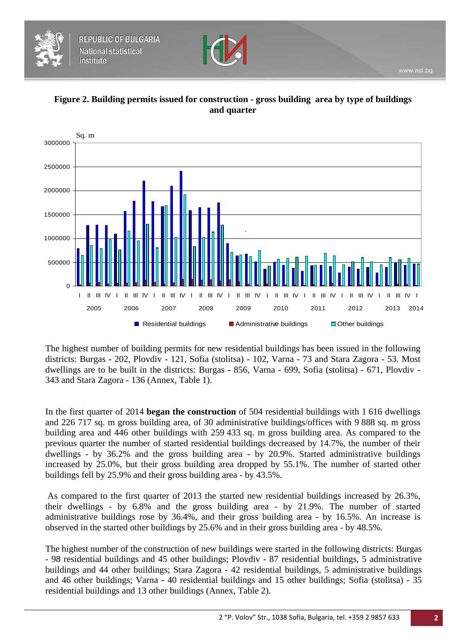







The highest number of building permits for new residential buildings has been issued in the following districts: Burgas - 202, Plovdiv - 121, Sofia (stolitsa) - 102, Varna - 73 and Stara Zagora - 53. Most dwellings are to be built in the districts: Burgas - 856, Varna - 699, Sofia (stolitsa) - 671, Plovdiv - 343 and Stara Zagora - 136 (Annex, Table 1).

In the first quarter of 2014 **began the construction** of 504 residential buildings with 1 616 dwellings and 226 717 sq. m gross building area, of 30 administrative buildings/offices with 9 888 sq. m gross building area and 446 other buildings with 259 433 sq. m gross building area. As compared to the previous quarter the number of started residential buildings decreased by 14.7%, the number of their dwellings - by 36.2% and the gross building area - by 20.9%. Started administrative buildings increased by 25.0%, but their gross building area dropped by 55.1%. The number of started other buildings fell by 25.9% and their gross building area - by 43.5%.

As compared to the first quarter of 2013 the started new residential buildings increased by 26.3%, their dwellings - by 6.8% and the gross building area - by 21.9%. The number of started administrative buildings rose by 36.4%, and their gross building area - by 16.5%. An increase is observed in the started other buildings by 25.6% and in their gross building area - by 48.5%.

The highest number of the construction of new buildings were started in the following districts: Burgas - 98 residential buildings and 45 other buildings; Plovdiv - 87 residential buildings, 5 administrative buildings and 44 other buildings; Stara Zagora - 42 residential buildings, 5 administrative buildings and 46 other buildings; Varna - 40 residential buildings and 15 other buildings; Sofia (stolitsa) - 35 residential buildings and 13 other buildings (Annex, Table 2).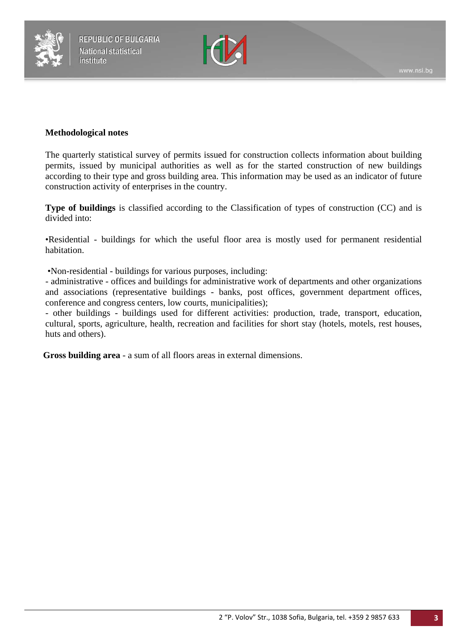



#### **Methodological notes**

The quarterly statistical survey of permits issued for construction collects information about building permits, issued by municipal authorities as well as for the started construction of new buildings according to their type and gross building area. This information may be used as an indicator of future construction activity of enterprises in the country.

**Type of buildings** is classified according to the Classification of types of construction (CC) and is divided into:

•Residential - buildings for which the useful floor area is mostly used for permanent residential habitation.

•Non-residential *-* buildings for various purposes, including:

- administrative - offices and buildings for administrative work of departments and other organizations and associations (representative buildings - banks, post offices, government department offices, conference and congress centers, low courts, municipalities);

- other buildings - buildings used for different activities: production, trade, transport, education, cultural, sports, agriculture, health, recreation and facilities for short stay (hotels, motels, rest houses, huts and others).

**Gross building area** - a sum of all floors areas in external dimensions.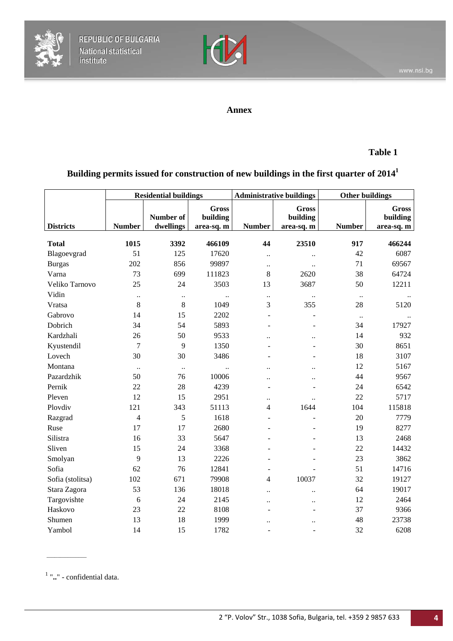



#### **Annex**

## **Table 1**

# **Building permits issued for construction of new buildings in the first quarter of 20141**

|                  | <b>Residential buildings</b> |                        | <b>Administrative buildings</b>        |                          | <b>Other buildings</b>                 |               |                                        |
|------------------|------------------------------|------------------------|----------------------------------------|--------------------------|----------------------------------------|---------------|----------------------------------------|
| <b>Districts</b> | <b>Number</b>                | Number of<br>dwellings | <b>Gross</b><br>building<br>area-sq. m | <b>Number</b>            | <b>Gross</b><br>building<br>area-sq. m | <b>Number</b> | <b>Gross</b><br>building<br>area-sq. m |
| <b>Total</b>     | 1015                         | 3392                   | 466109                                 | 44                       | 23510                                  | 917           | 466244                                 |
| Blagoevgrad      | 51                           | 125                    | 17620                                  | $\ddotsc$                | $\ldots$                               | 42            | 6087                                   |
| <b>Burgas</b>    | 202                          | 856                    | 99897                                  | $\ldots$                 | $\ddotsc$                              | 71            | 69567                                  |
| Varna            | 73                           | 699                    | 111823                                 | 8                        | 2620                                   | 38            | 64724                                  |
| Veliko Tarnovo   | 25                           | 24                     | 3503                                   | 13                       | 3687                                   | 50            | 12211                                  |
| Vidin            | $\ddotsc$                    | $\ddotsc$              | $\ddot{\phantom{a}}$                   | $\ldots$                 | $\ddot{\phantom{a}}$                   | $\ldots$      |                                        |
| Vratsa           | 8                            | $8\,$                  | 1049                                   | 3                        | 355                                    | 28            | 5120                                   |
| Gabrovo          | 14                           | 15                     | 2202                                   | ÷,                       |                                        | $\ddotsc$     |                                        |
| Dobrich          | 34                           | 54                     | 5893                                   | ٠                        | $\blacksquare$                         | 34            | 17927                                  |
| Kardzhali        | 26                           | 50                     | 9533                                   | $\ddot{\phantom{a}}$     | $\ddot{\phantom{a}}$                   | 14            | 932                                    |
| Kyustendil       | 7                            | 9                      | 1350                                   | L,                       |                                        | 30            | 8651                                   |
| Lovech           | 30                           | 30                     | 3486                                   | L.                       |                                        | 18            | 3107                                   |
| Montana          | $\ddot{\phantom{a}}$         | $\ldots$               | $\ddot{\phantom{a}}$                   | $\ddot{\phantom{a}}$     | $\ddot{\phantom{0}}$                   | 12            | 5167                                   |
| Pazardzhik       | 50                           | 76                     | 10006                                  | $\ddot{\phantom{a}}$     | $\ddot{\phantom{a}}$                   | 44            | 9567                                   |
| Pernik           | 22                           | 28                     | 4239                                   | ÷,                       |                                        | 24            | 6542                                   |
| Pleven           | 12                           | 15                     | 2951                                   | $\ddot{\phantom{0}}$     | $\ddot{\phantom{a}}$                   | 22            | 5717                                   |
| Plovdiv          | 121                          | 343                    | 51113                                  | 4                        | 1644                                   | 104           | 115818                                 |
| Razgrad          | $\overline{4}$               | 5                      | 1618                                   | $\blacksquare$           |                                        | 20            | 7779                                   |
| Ruse             | 17                           | 17                     | 2680                                   |                          |                                        | 19            | 8277                                   |
| Silistra         | 16                           | 33                     | 5647                                   |                          |                                        | 13            | 2468                                   |
| Sliven           | 15                           | 24                     | 3368                                   | ÷,                       |                                        | 22            | 14432                                  |
| Smolyan          | 9                            | 13                     | 2226                                   | L,                       |                                        | 23            | 3862                                   |
| Sofia            | 62                           | 76                     | 12841                                  | $\overline{\phantom{a}}$ |                                        | 51            | 14716                                  |
| Sofia (stolitsa) | 102                          | 671                    | 79908                                  | 4                        | 10037                                  | 32            | 19127                                  |
| Stara Zagora     | 53                           | 136                    | 18018                                  | $\ddot{\phantom{a}}$     | $\ddot{\phantom{a}}$                   | 64            | 19017                                  |
| Targovishte      | 6                            | 24                     | 2145                                   | $\ddot{\phantom{0}}$     | $\ddot{\phantom{0}}$                   | 12            | 2464                                   |
| Haskovo          | 23                           | 22                     | 8108                                   |                          |                                        | 37            | 9366                                   |
| Shumen           | 13                           | 18                     | 1999                                   | $\ddot{\phantom{0}}$     | $\ddot{\phantom{0}}$                   | 48            | 23738                                  |
| Yambol           | 14                           | 15                     | 1782                                   | ÷.                       | ÷.                                     | 32            | 6208                                   |

<sup>1</sup> "**..**" - confidential data.

 $\overline{\phantom{a}}$